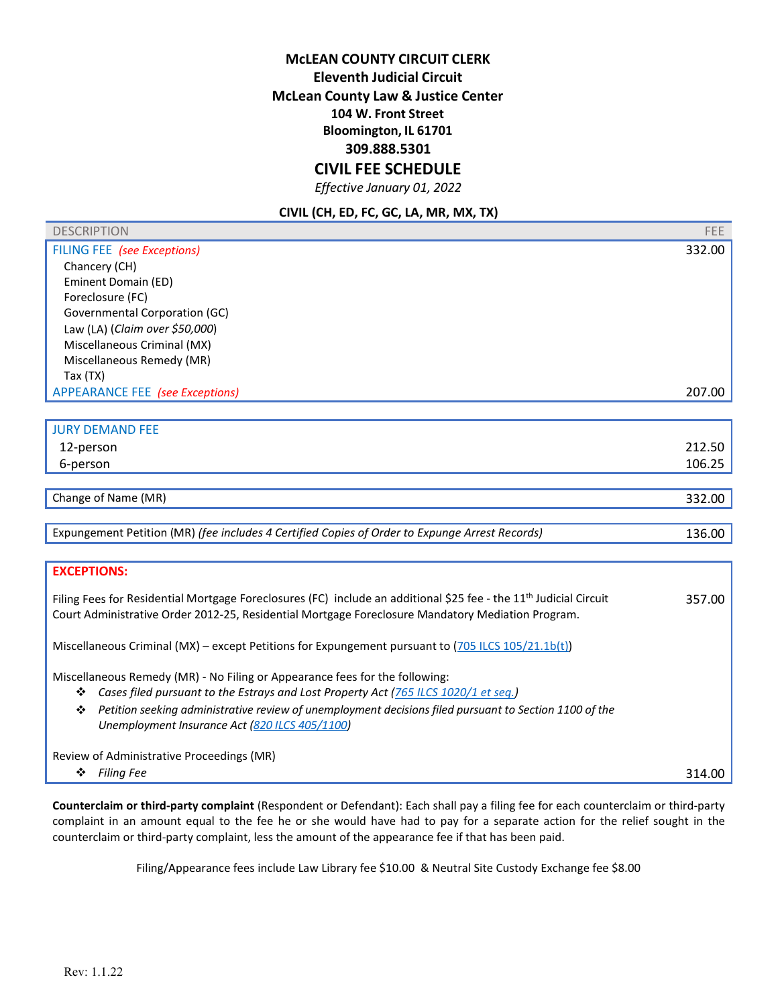## **CIVIL FEE SCHEDULE**

*Effective January 01, 2022* 

#### **CIVIL (CH, ED, FC, GC, LA, MR, MX, TX)**

| <b>DESCRIPTION</b>                     | <b>FEE</b> |
|----------------------------------------|------------|
| FILING FEE (see Exceptions)            | 332.00     |
| Chancery (CH)                          |            |
| Eminent Domain (ED)                    |            |
| Foreclosure (FC)                       |            |
| Governmental Corporation (GC)          |            |
| Law (LA) (Claim over \$50,000)         |            |
| Miscellaneous Criminal (MX)            |            |
| Miscellaneous Remedy (MR)              |            |
| Tax $(TX)$                             |            |
| <b>APPEARANCE FEE</b> (see Exceptions) | 207.00     |
|                                        |            |
| <b>JURY DEMAND FEE</b>                 |            |

| ו טווח שנוחום ונוטנ |        |
|---------------------|--------|
| 12-person           | 212.50 |
| 6-person            | 106.25 |
|                     |        |

Change of Name (MR) 332.00

Expungement Petition (MR) *(fee includes 4 Certified Copies of Order to Expunge Arrest Records)* 136.00

## **EXCEPTIONS:**

Filing Fees for Residential Mortgage Foreclosures (FC) include an additional \$25 fee - the 11<sup>th</sup> Judicial Circuit Court Administrative Order 2012-25, Residential Mortgage Foreclosure Mandatory Mediation Program. 357.00

Miscellaneous Criminal (MX) – except Petitions for Expungement pursuant to (705 ILCS 105/21.1b(t))

Miscellaneous Remedy (MR) - No Filing or Appearance fees for the following:

- *Cases filed pursuant to the Estrays and Lost Property Act (765 ILCS 1020/1 et seq.)*
- *Petition seeking administrative review of unemployment decisions filed pursuant to Section 1100 of the Unemployment Insurance Act (820 ILCS 405/1100)*

Review of Administrative Proceedings (MR)

*Filing Fee* 314.00

**Counterclaim or third-party complaint** (Respondent or Defendant): Each shall pay a filing fee for each counterclaim or third-party complaint in an amount equal to the fee he or she would have had to pay for a separate action for the relief sought in the counterclaim or third-party complaint, less the amount of the appearance fee if that has been paid.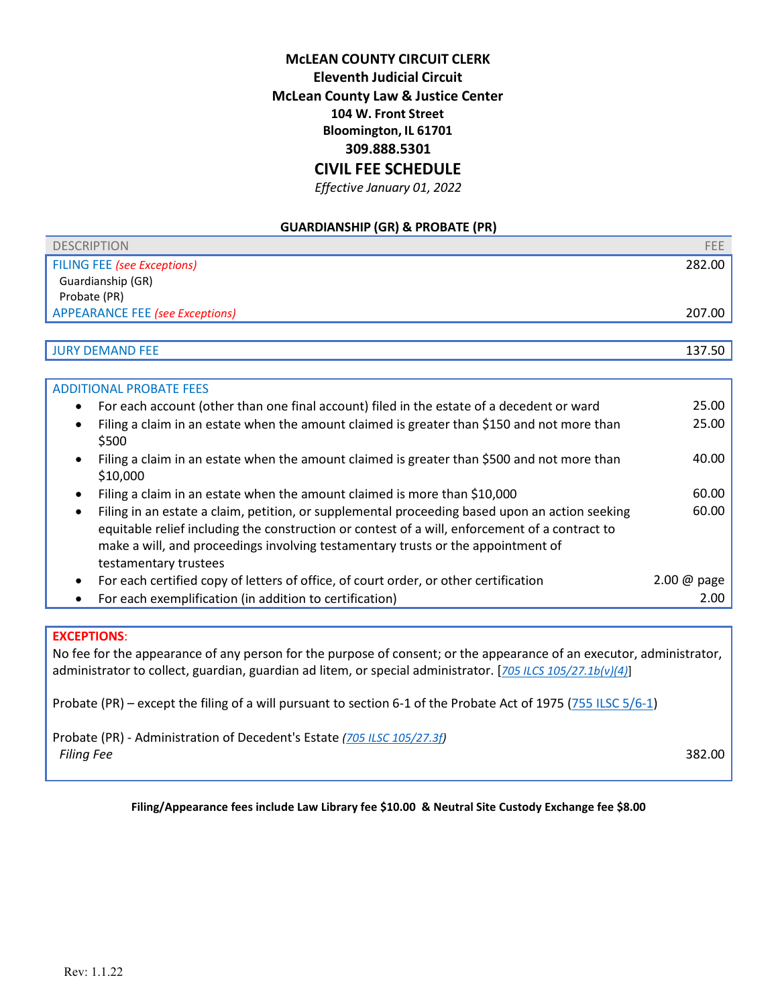## **CIVIL FEE SCHEDULE**

*Effective January 01, 2022* 

#### **GUARDIANSHIP (GR) & PROBATE (PR)**

| <b>DESCRIPTION</b>                     | <b>FEE</b> |
|----------------------------------------|------------|
| FILING FEE (see Exceptions)            | 282.00     |
| Guardianship (GR)                      |            |
| Probate (PR)                           |            |
| <b>APPEARANCE FEE (see Exceptions)</b> | 207.00     |
|                                        |            |
| <b>JURY DEMAND FEE</b>                 | 137.50     |

| <b>ADDITIONAL PROBATE FEES</b>                                                                                                                                                                                                                                                                                             |                        |
|----------------------------------------------------------------------------------------------------------------------------------------------------------------------------------------------------------------------------------------------------------------------------------------------------------------------------|------------------------|
| For each account (other than one final account) filed in the estate of a decedent or ward<br>٠                                                                                                                                                                                                                             | 25.00                  |
| Filing a claim in an estate when the amount claimed is greater than \$150 and not more than<br>$\bullet$<br>\$500                                                                                                                                                                                                          | 25.00                  |
| Filing a claim in an estate when the amount claimed is greater than \$500 and not more than<br>\$10,000                                                                                                                                                                                                                    | 40.00                  |
| Filing a claim in an estate when the amount claimed is more than \$10,000                                                                                                                                                                                                                                                  | 60.00                  |
| Filing in an estate a claim, petition, or supplemental proceeding based upon an action seeking<br>$\bullet$<br>equitable relief including the construction or contest of a will, enforcement of a contract to<br>make a will, and proceedings involving testamentary trusts or the appointment of<br>testamentary trustees | 60.00                  |
| For each certified copy of letters of office, of court order, or other certification<br>$\bullet$                                                                                                                                                                                                                          | $2.00 \ @ \text{page}$ |
| For each exemplification (in addition to certification)                                                                                                                                                                                                                                                                    | 2.00                   |
|                                                                                                                                                                                                                                                                                                                            |                        |

#### **EXCEPTIONS**:

No fee for the appearance of any person for the purpose of consent; or the appearance of an executor, administrator, administrator to collect, guardian, guardian ad litem, or special administrator. [*705 ILCS 105/27.1b(v)(4)*]

Probate (PR) – except the filing of a will pursuant to section 6-1 of the Probate Act of 1975 (755 ILSC 5/6-1)

Probate (PR) - Administration of Decedent's Estate *(705 ILSC 105/27.3f) Filing Fee* 382.00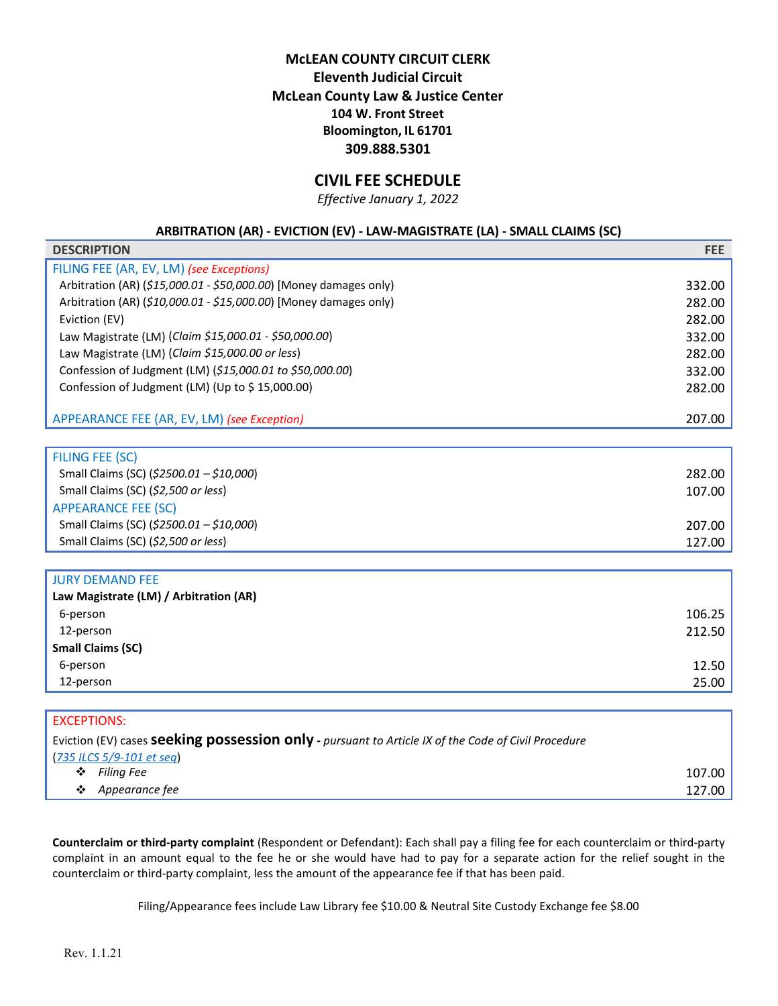## **CIVIL FEE SCHEDULE**

*Effective January 1, 2022* 

#### **ARBITRATION (AR) - EVICTION (EV) - LAW-MAGISTRATE (LA) - SMALL CLAIMS (SC)**

| <b>DESCRIPTION</b>                                                | <b>FEE</b> |
|-------------------------------------------------------------------|------------|
| FILING FEE (AR, EV, LM) (see Exceptions)                          |            |
| Arbitration (AR) (\$15,000.01 - \$50,000.00) [Money damages only) | 332.00     |
| Arbitration (AR) (\$10,000.01 - \$15,000.00) [Money damages only) | 282.00     |
| Eviction (EV)                                                     | 282.00     |
| Law Magistrate (LM) (Claim \$15,000.01 - \$50,000.00)             | 332.00     |
| Law Magistrate (LM) (Claim \$15,000.00 or less)                   | 282.00     |
| Confession of Judgment (LM) (\$15,000.01 to \$50,000.00)          | 332.00     |
| Confession of Judgment (LM) (Up to \$15,000.00)                   | 282.00     |
|                                                                   |            |
| APPEARANCE FEE (AR, EV, LM) (see Exception)                       | 207.00     |
|                                                                   |            |
| <b>FILING FEE (SC)</b>                                            |            |
| Small Claims (SC) (\$2500.01 - \$10,000)                          | 282.00     |
| Small Claims (SC) (\$2,500 or less)                               | 107.00     |
| <b>APPEARANCE FEE (SC)</b>                                        |            |
| Small Claims (SC) (\$2500.01 - \$10,000)                          | 207.00     |
| Small Claims (SC) (\$2,500 or less)                               | 127.00     |
|                                                                   |            |
| <b>JURY DEMAND FEE</b>                                            |            |
| Law Magistrate (LM) / Arbitration (AR)                            |            |
| 6-person                                                          | 106.25     |
| 12-person                                                         | 212.50     |
| <b>Small Claims (SC)</b>                                          |            |
| 6-person                                                          | 12.50      |
| 12-person                                                         | 25.00      |
|                                                                   |            |
| <b>EXCEPTIONS:</b>                                                |            |

|   | Eviction (EV) cases <b>Seeking possession only</b> - pursuant to Article IX of the Code of Civil Procedure |        |
|---|------------------------------------------------------------------------------------------------------------|--------|
|   | $(735 \text{ ILCS } 5/9 - 101 \text{ et } seq)$                                                            |        |
|   | $\div$ Filing Fee                                                                                          | 107.00 |
| ❖ | Appearance fee                                                                                             | 127.00 |
|   |                                                                                                            |        |

**Counterclaim or third-party complaint** (Respondent or Defendant): Each shall pay a filing fee for each counterclaim or third-party complaint in an amount equal to the fee he or she would have had to pay for a separate action for the relief sought in the counterclaim or third-party complaint, less the amount of the appearance fee if that has been paid.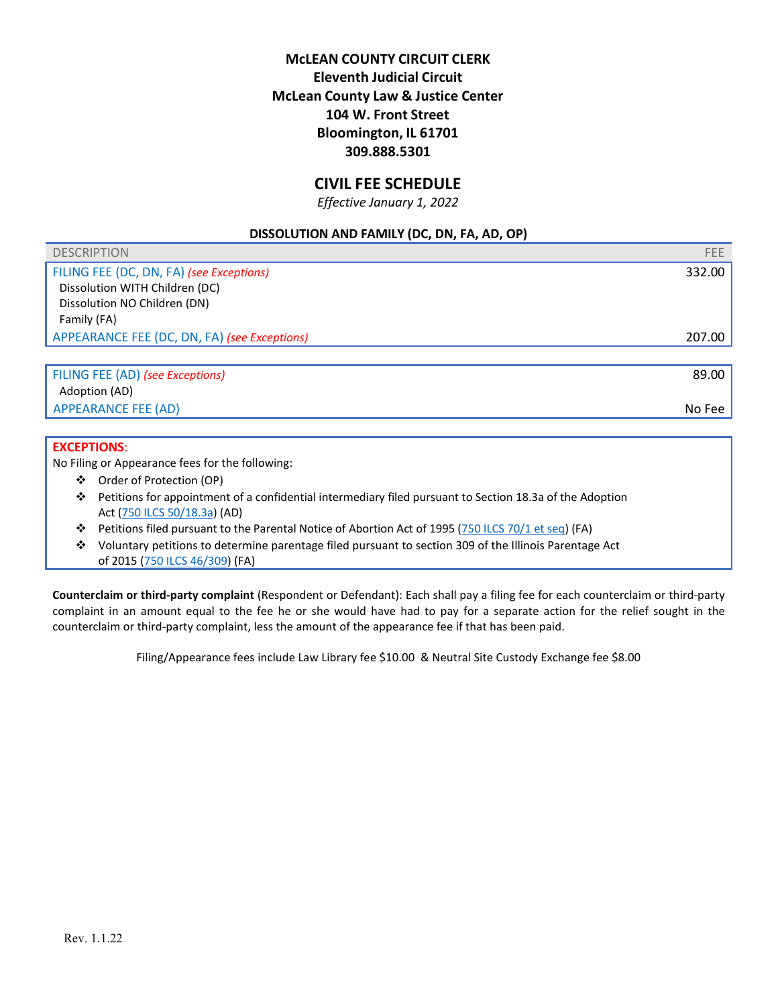## **CIVIL FEE SCHEDULE**

*Effective January 1, 2022* 

### **DISSOLUTION AND FAMILY (DC, DN, FA, AD, OP)**

| <b>DESCRIPTION</b>                           | FEE.   |
|----------------------------------------------|--------|
| FILING FEE (DC, DN, FA) (see Exceptions)     | 332.00 |
| Dissolution WITH Children (DC)               |        |
| Dissolution NO Children (DN)                 |        |
| Family (FA)                                  |        |
| APPEARANCE FEE (DC, DN, FA) (see Exceptions) | 207.00 |
|                                              |        |
| FILING FEE (AD) (see Exceptions)             | 89.00  |
| Adoption (AD)                                |        |
| <b>APPEARANCE FEE (AD)</b>                   | No Fee |

#### **EXCEPTIONS**:

No Filing or Appearance fees for the following:

- Order of Protection (OP)
- Petitions for appointment of a confidential intermediary filed pursuant to Section 18.3a of the Adoption Act (750 ILCS 50/18.3a) (AD)
- Petitions filed pursuant to the Parental Notice of Abortion Act of 1995 (750 ILCS 70/1 et seq) (FA)
- Voluntary petitions to determine parentage filed pursuant to section 309 of the Illinois Parentage Act of 2015 (750 ILCS 46/309) (FA)

**Counterclaim or third-party complaint** (Respondent or Defendant): Each shall pay a filing fee for each counterclaim or third-party complaint in an amount equal to the fee he or she would have had to pay for a separate action for the relief sought in the counterclaim or third-party complaint, less the amount of the appearance fee if that has been paid.